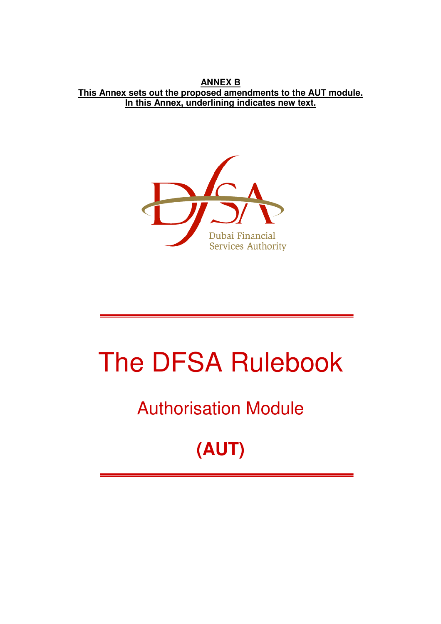**ANNEX B This Annex sets out the proposed amendments to the AUT module. In this Annex, underlining indicates new text.**



# The DFSA Rulebook

# Authorisation Module

# **(AUT)**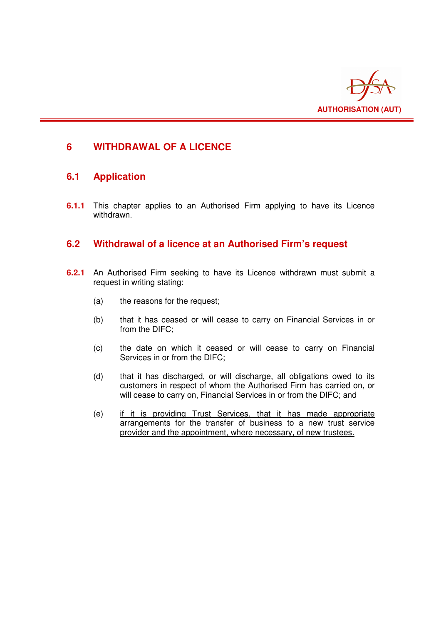

# **6 WITHDRAWAL OF A LICENCE**

# **6.1 Application**

**6.1.1** This chapter applies to an Authorised Firm applying to have its Licence withdrawn.

### **6.2 Withdrawal of a licence at an Authorised Firm's request**

- **6.2.1** An Authorised Firm seeking to have its Licence withdrawn must submit a request in writing stating:
	- (a) the reasons for the request;
	- (b) that it has ceased or will cease to carry on Financial Services in or from the DIFC;
	- (c) the date on which it ceased or will cease to carry on Financial Services in or from the DIFC;
	- (d) that it has discharged, or will discharge, all obligations owed to its customers in respect of whom the Authorised Firm has carried on, or will cease to carry on, Financial Services in or from the DIFC; and
	- (e) if it is providing Trust Services, that it has made appropriate arrangements for the transfer of business to a new trust service provider and the appointment, where necessary, of new trustees.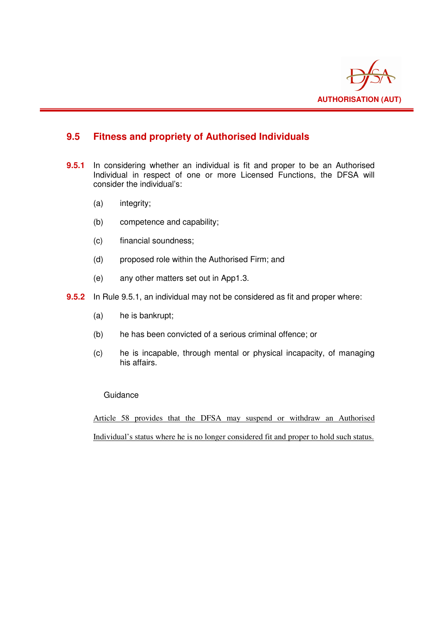

# **9.5 Fitness and propriety of Authorised Individuals**

- **9.5.1** In considering whether an individual is fit and proper to be an Authorised Individual in respect of one or more Licensed Functions, the DFSA will consider the individual's:
	- (a) integrity;
	- (b) competence and capability;
	- (c) financial soundness;
	- (d) proposed role within the Authorised Firm; and
	- (e) any other matters set out in App1.3.
- **9.5.2** In Rule 9.5.1, an individual may not be considered as fit and proper where:
	- (a) he is bankrupt;
	- (b) he has been convicted of a serious criminal offence; or
	- (c) he is incapable, through mental or physical incapacity, of managing his affairs.

#### Guidance

Article 58 provides that the DFSA may suspend or withdraw an Authorised Individual's status where he is no longer considered fit and proper to hold such status.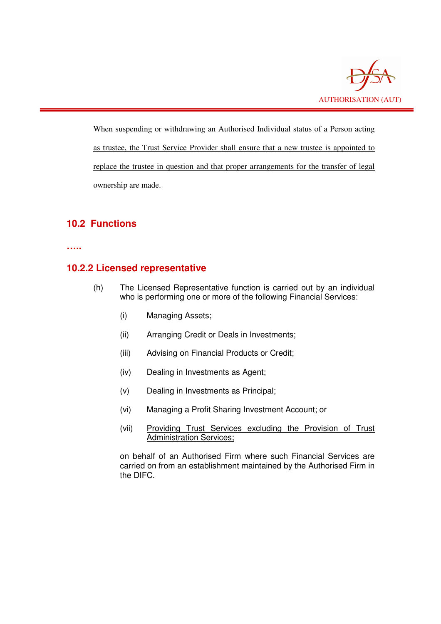

When suspending or withdrawing an Authorised Individual status of a Person acting as trustee, the Trust Service Provider shall ensure that a new trustee is appointed to replace the trustee in question and that proper arrangements for the transfer of legal ownership are made.

# **10.2 Functions**

**…..** 

# **10.2.2 Licensed representative**

- (h) The Licensed Representative function is carried out by an individual who is performing one or more of the following Financial Services:
	- (i) Managing Assets;
	- (ii) Arranging Credit or Deals in Investments;
	- (iii) Advising on Financial Products or Credit;
	- (iv) Dealing in Investments as Agent;
	- (v) Dealing in Investments as Principal;
	- (vi) Managing a Profit Sharing Investment Account; or
	- (vii) Providing Trust Services excluding the Provision of Trust Administration Services;

on behalf of an Authorised Firm where such Financial Services are carried on from an establishment maintained by the Authorised Firm in the DIFC.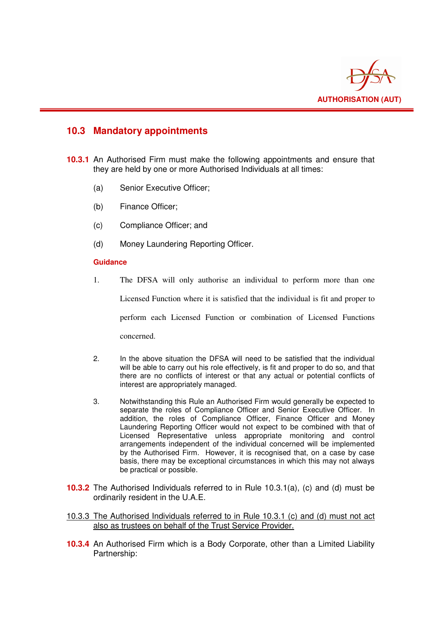

### **10.3 Mandatory appointments**

- **10.3.1** An Authorised Firm must make the following appointments and ensure that they are held by one or more Authorised Individuals at all times:
	- (a) Senior Executive Officer;
	- (b) Finance Officer;
	- (c) Compliance Officer; and
	- (d) Money Laundering Reporting Officer.

#### **Guidance**

1. The DFSA will only authorise an individual to perform more than one

Licensed Function where it is satisfied that the individual is fit and proper to

perform each Licensed Function or combination of Licensed Functions

concerned.

- 2. In the above situation the DFSA will need to be satisfied that the individual will be able to carry out his role effectively, is fit and proper to do so, and that there are no conflicts of interest or that any actual or potential conflicts of interest are appropriately managed.
- 3. Notwithstanding this Rule an Authorised Firm would generally be expected to separate the roles of Compliance Officer and Senior Executive Officer. In addition, the roles of Compliance Officer, Finance Officer and Money Laundering Reporting Officer would not expect to be combined with that of Licensed Representative unless appropriate monitoring and control arrangements independent of the individual concerned will be implemented by the Authorised Firm. However, it is recognised that, on a case by case basis, there may be exceptional circumstances in which this may not always be practical or possible.
- **10.3.2** The Authorised Individuals referred to in Rule 10.3.1(a), (c) and (d) must be ordinarily resident in the U.A.E.
- 10.3.3 The Authorised Individuals referred to in Rule 10.3.1 (c) and (d) must not act also as trustees on behalf of the Trust Service Provider.
- **10.3.4** An Authorised Firm which is a Body Corporate, other than a Limited Liability Partnership: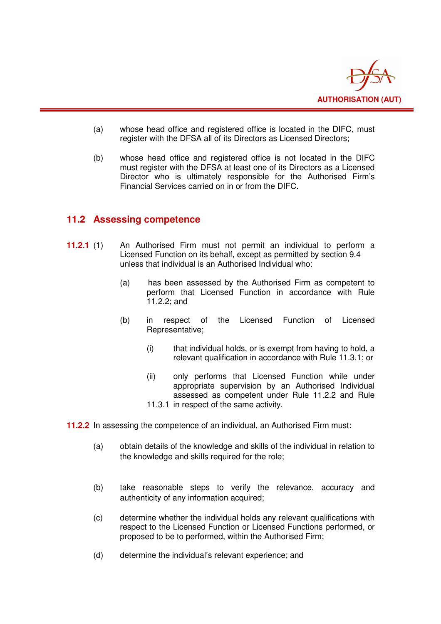

- (a) whose head office and registered office is located in the DIFC, must register with the DFSA all of its Directors as Licensed Directors;
- (b) whose head office and registered office is not located in the DIFC must register with the DFSA at least one of its Directors as a Licensed Director who is ultimately responsible for the Authorised Firm's Financial Services carried on in or from the DIFC.

#### **11.2 Assessing competence**

- **11.2.1** (1) An Authorised Firm must not permit an individual to perform a Licensed Function on its behalf, except as permitted by section 9.4 unless that individual is an Authorised Individual who:
	- (a) has been assessed by the Authorised Firm as competent to perform that Licensed Function in accordance with Rule 11.2.2; and
	- (b) in respect of the Licensed Function of Licensed Representative;
		- (i) that individual holds, or is exempt from having to hold, a relevant qualification in accordance with Rule 11.3.1; or
		- (ii) only performs that Licensed Function while under appropriate supervision by an Authorised Individual assessed as competent under Rule 11.2.2 and Rule 11.3.1 in respect of the same activity.
- **11.2.2** In assessing the competence of an individual, an Authorised Firm must:
	- (a) obtain details of the knowledge and skills of the individual in relation to the knowledge and skills required for the role;
	- (b) take reasonable steps to verify the relevance, accuracy and authenticity of any information acquired;
	- (c) determine whether the individual holds any relevant qualifications with respect to the Licensed Function or Licensed Functions performed, or proposed to be to performed, within the Authorised Firm;
	- (d) determine the individual's relevant experience; and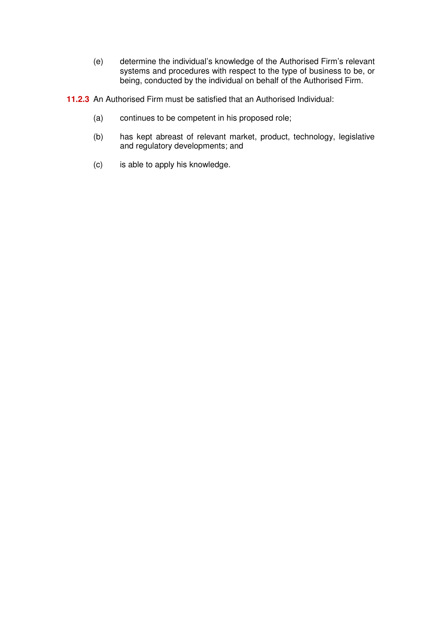- (e) determine the individual's knowledge of the Authorised Firm's relevant systems and procedures with respect to the type of business to be, or being, conducted by the individual on behalf of the Authorised Firm.
- **11.2.3** An Authorised Firm must be satisfied that an Authorised Individual:
	- (a) continues to be competent in his proposed role;
	- (b) has kept abreast of relevant market, product, technology, legislative and regulatory developments; and
	- (c) is able to apply his knowledge.